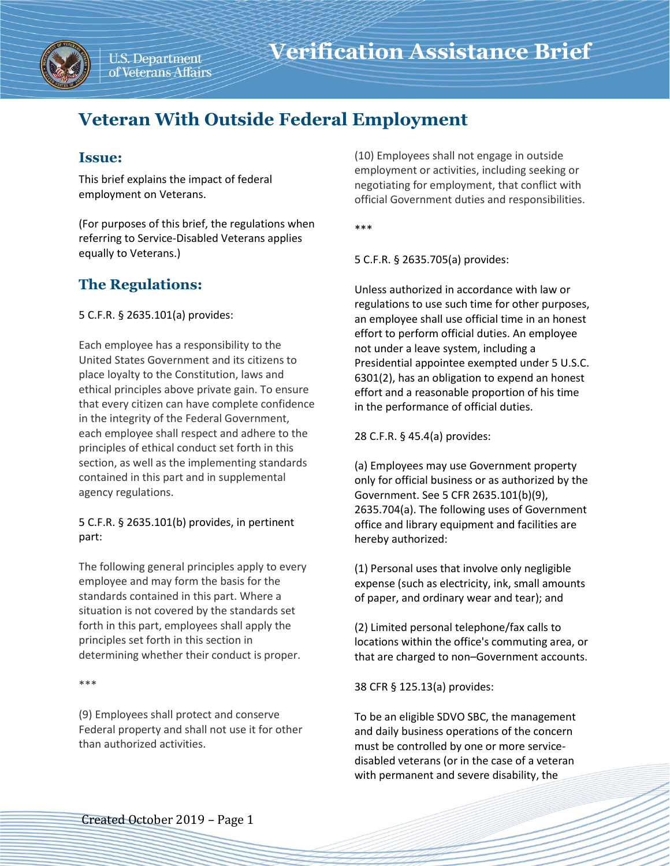

# **Veteran With Outside Federal Employment**

# **Issue:**

This brief explains the impact of federal employment on Veterans.

(For purposes of this brief, the regulations when referring to Service-Disabled Veterans applies equally to Veterans.)

# **The Regulations:**

5 C.F.R. § 2635.101(a) provides:

Each employee has a responsibility to the United States Government and its citizens to place loyalty to the Constitution, laws and ethical principles above private gain. To ensure that every citizen can have complete confidence in the integrity of the Federal Government, each employee shall respect and adhere to the principles of ethical conduct set forth in this section, as well as the implementing standards contained in this part and in supplemental agency regulations.

### 5 C.F.R. § 2635.101(b) provides, in pertinent part:

The following general principles apply to every employee and may form the basis for the standards contained in this part. Where a situation is not covered by the standards set forth in this part, employees shall apply the principles set forth in this section in determining whether their conduct is proper.

\*\*\*

(9) Employees shall protect and conserve Federal property and shall not use it for other than authorized activities.

(10) Employees shall not engage in outside employment or activities, including seeking or negotiating for employment, that conflict with official Government duties and responsibilities.

\*\*\*

5 C.F.R. § 2635.705(a) provides:

Unless authorized in accordance with law or regulations to use such time for other purposes, an employee shall use official time in an honest effort to perform official duties. An employee not under a leave system, including a Presidential appointee exempted under 5 U.S.C. 6301(2), has an obligation to expend an honest effort and a reasonable proportion of his time in the performance of official duties.

28 C.F.R. § 45.4(a) provides:

(a) Employees may use Government property only for official business or as authorized by the Government. See 5 CFR 2635.101(b)(9), 2635.704(a). The following uses of Government office and library equipment and facilities are hereby authorized:

(1) Personal uses that involve only negligible expense (such as electricity, ink, small amounts of paper, and ordinary wear and tear); and

(2) Limited personal telephone/fax calls to locations within the office's commuting area, or that are charged to non–Government accounts.

38 CFR § 125.13(a) provides:

To be an eligible SDVO SBC, the management and daily business operations of the concern must be controlled by one or more servicedisabled veterans (or in the case of a veteran with permanent and severe disability, the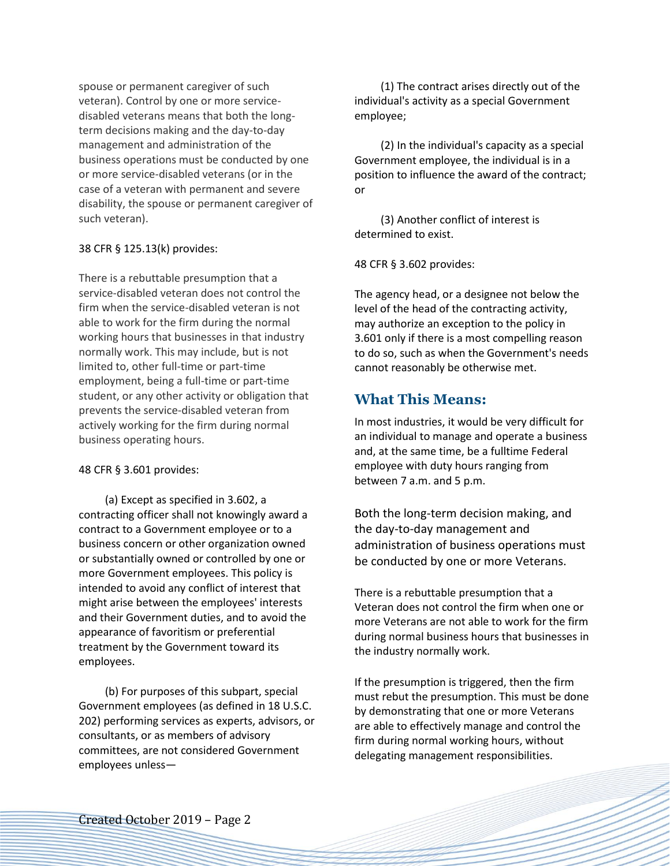spouse or permanent caregiver of such veteran). Control by one or more servicedisabled veterans means that both the longterm decisions making and the day-to-day management and administration of the business operations must be conducted by one or more service-disabled veterans (or in the case of a veteran with permanent and severe disability, the spouse or permanent caregiver of such veteran).

#### 38 CFR § 125.13(k) provides:

There is a rebuttable presumption that a service-disabled veteran does not control the firm when the service-disabled veteran is not able to work for the firm during the normal working hours that businesses in that industry normally work. This may include, but is not limited to, other full-time or part-time employment, being a full-time or part-time student, or any other activity or obligation that prevents the service-disabled veteran from actively working for the firm during normal business operating hours.

#### 48 CFR § 3.601 provides:

(a) Except as specified in 3.602, a contracting officer shall not knowingly award a contract to a Government employee or to a business concern or other organization owned or substantially owned or controlled by one or more Government employees. This policy is intended to avoid any conflict of interest that might arise between the employees' interests and their Government duties, and to avoid the appearance of favoritism or preferential treatment by the Government toward its employees.

(b) For purposes of this subpart, special Government employees (as defined in 18 U.S.C. 202) performing services as experts, advisors, or consultants, or as members of advisory committees, are not considered Government employees unless—

(1) The contract arises directly out of the individual's activity as a special Government employee;

(2) In the individual's capacity as a special Government employee, the individual is in a position to influence the award of the contract; or

(3) Another conflict of interest is determined to exist.

48 CFR § 3.602 provides:

The agency head, or a designee not below the level of the head of the contracting activity, may authorize an exception to the policy in 3.601 only if there is a most compelling reason to do so, such as when the Government's needs cannot reasonably be otherwise met.

## **What This Means:**

In most industries, it would be very difficult for an individual to manage and operate a business and, at the same time, be a fulltime Federal employee with duty hours ranging from between 7 a.m. and 5 p.m.

Both the long-term decision making, and the day-to-day management and administration of business operations must be conducted by one or more Veterans.

There is a rebuttable presumption that a Veteran does not control the firm when one or more Veterans are not able to work for the firm during normal business hours that businesses in the industry normally work.

If the presumption is triggered, then the firm must rebut the presumption. This must be done by demonstrating that one or more Veterans are able to effectively manage and control the firm during normal working hours, without delegating management responsibilities.